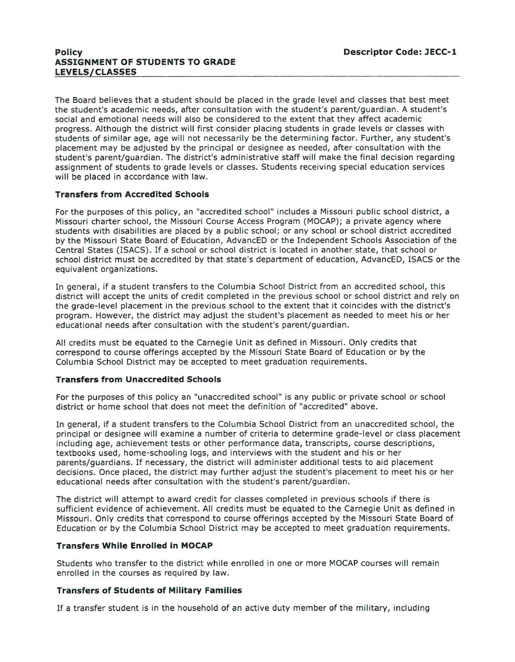## **Policy ASSIGNMENT OF STUDENTS TO GRADE LEVELS/CLASSES**

The Board believes that a student should be placed in the grade level and classes that best meet the student's academic needs, after consultation with the student's parent/guardian. A student's social and emotional needs will also be considered to the extent that they affect academic progress. Although the district will first consider placing students in grade levels or classes with students of similar age, age will not necessarily be the determining factor. Further, any student's placement may be adjusted by the principal or designee as needed, after consultation with the student's parent/guardian. The district's administrative staff will make the final decision regarding assignment of students to grade levels or classes. Students receiving special education services will be placed in accordance with law.

# **Transfers from Accredited Schools**

For the purposes of this policy, an "accredited school" includes a Missouri public school district, a Missouri charter school, the Missouri Course Access Program (MOCAP); a private agency where students with disabilities are placed by a public school; or any school or school district accredited by the Missouri State Board of Education, AdvancED or the Independent Schools Association of the Central States (ISACS). If a school or school district is located in another state, that school or school district must be accredited by that state's department of education, AdvancED, ISACS or the equivalent organizations.

In general, if a student transfers to the Columbia School District from an accredited school, this district will accept the units of credit completed in the previous school or school district and rely on the grade-level placement in the previous school to the extent that it coincides with the district's program. However, the district may adjust the student's placement as needed to meet his or her educational needs after consultation with the student's parent/ guardian.

All credits must be equated to the Carnegie Unit as defined in Missouri. Only credits that correspond to course offerings accepted by the Missouri State Board of Education or by the Columbia School District may be accepted to meet graduation requirements.

### **Transfers from Unaccredited Schools**

For the purposes of this policy an "unaccredited school" is any public or private school or school district or home school that does not meet the definition of "accredited" above.

In general, if a student transfers to the Columbia School District from an unaccredited school, the principal or designee will examine a number of criteria to determine grade-level or class placement including age, achievement tests or other performance data, transcripts, course descriptions, textbooks used, home-schooling logs, and interviews with the student and his or her parents/guardians. If necessary, the district will administer additional tests to aid placement decisions. Once placed, the district may further adjust the student's placement to meet his or her educational needs after consultation with the student's parent/guardian.

The district will attempt to award credit for classes completed in previous schools if there is sufficient evidence of achievement. All credits must be equated to the Carnegie Unit as defined in Missouri. Only credits that correspond to course offerings accepted by the Missouri State Board of Education or by the Columbia School District may be accepted to meet graduation requirements.

### **Transfers While Enrolled in MOCAP**

Students who transfer to the district while enrolled in one or more MOCAP courses will remain enrolled in the courses as required by law.

### **Transfers of Students of Military Families**

If a transfer student is in the household of an active duty member of the military, including